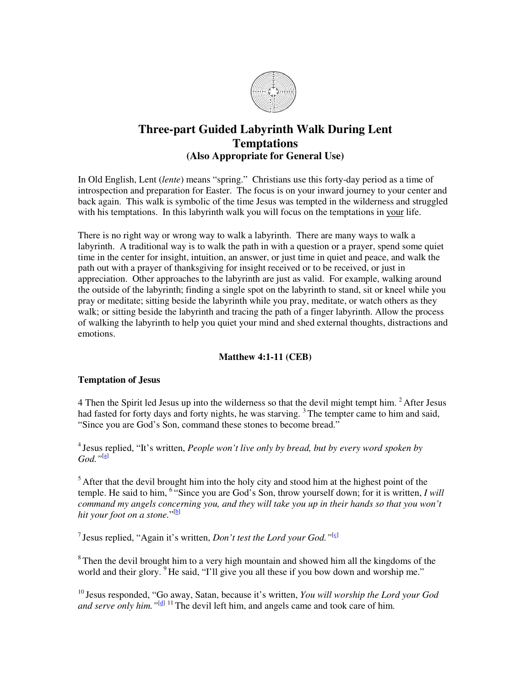

## **Three-part Guided Labyrinth Walk During Lent Temptations (Also Appropriate for General Use)**

In Old English, Lent (*lente*) means "spring." Christians use this forty-day period as a time of introspection and preparation for Easter. The focus is on your inward journey to your center and back again. This walk is symbolic of the time Jesus was tempted in the wilderness and struggled with his temptations. In this labyrinth walk you will focus on the temptations in your life.

There is no right way or wrong way to walk a labyrinth. There are many ways to walk a labyrinth. A traditional way is to walk the path in with a question or a prayer, spend some quiet time in the center for insight, intuition, an answer, or just time in quiet and peace, and walk the path out with a prayer of thanksgiving for insight received or to be received, or just in appreciation. Other approaches to the labyrinth are just as valid. For example, walking around the outside of the labyrinth; finding a single spot on the labyrinth to stand, sit or kneel while you pray or meditate; sitting beside the labyrinth while you pray, meditate, or watch others as they walk; or sitting beside the labyrinth and tracing the path of a finger labyrinth. Allow the process of walking the labyrinth to help you quiet your mind and shed external thoughts, distractions and emotions.

## **Matthew 4:1-11 (CEB)**

## **Temptation of Jesus**

4 Then the Spirit led Jesus up into the wilderness so that the devil might tempt him.  $2$  After Jesus had fasted for forty days and forty nights, he was starving.<sup>3</sup> The tempter came to him and said, "Since you are God's Son, command these stones to become bread."

<sup>4</sup> Jesus replied, "It's written, *People won't live only by bread, but by every word spoken by God."*[a]

 $<sup>5</sup>$  After that the devil brought him into the holy city and stood him at the highest point of the</sup> temple. He said to him, <sup>6</sup> "Since you are God's Son, throw yourself down; for it is written, *I will command my angels concerning you, and they will take you up in their hands so that you won't hit your foot on a stone.*" [b]

<sup>7</sup> Jesus replied, "Again it's written, *Don't test the Lord your God.*"<sup>[c]</sup>

 $8$ Then the devil brought him to a very high mountain and showed him all the kingdoms of the world and their glory. <sup>9</sup>He said, "I'll give you all these if you bow down and worship me."

<sup>10</sup> Jesus responded, "Go away, Satan, because it's written, *You will worship the Lord your God and serve only him.* "<sup>[d] 11</sup> The devil left him, and angels came and took care of him.